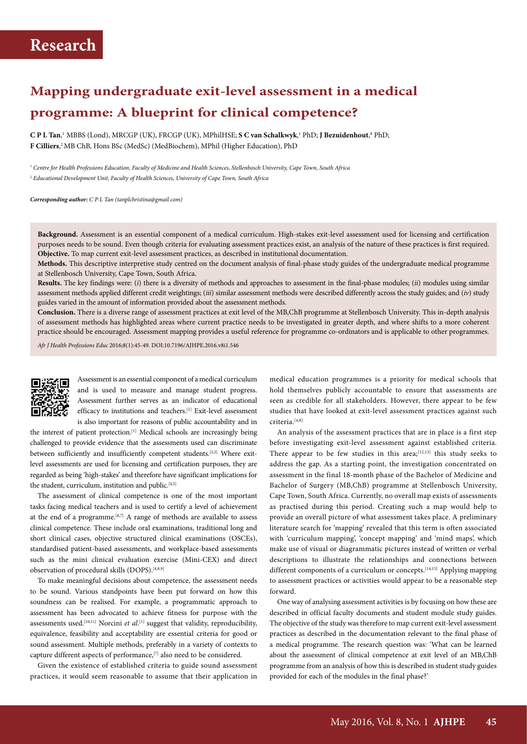# **Mapping undergraduate exit-level assessment in a medical programme: A blueprint for clinical competence?**

**C P L Tan**, <sup>1</sup> MBBS (Lond), MRCGP (UK), FRCGP (UK), MPhilHSE; **S C van Schalkwyk**, 1 PhD; **J Bezuidenhout**, **1** PhD; **F Cilliers**, 2 MB ChB, Hons BSc (MedSc) (MedBiochem), MPhil (Higher Education), PhD

<sup>1</sup> *Centre for Health Professions Education, Faculty of Medicine and Health Sciences, Stellenbosch University, Cape Town, South Africa* <sup>2</sup> *Educational Development Unit, Faculty of Health Sciences, University of Cape Town, South Africa*

*Corresponding author: C P L Tan (tanplchristina@gmail.com)*

**Background.** Assessment is an essential component of a medical curriculum. High-stakes exit-level assessment used for licensing and certification purposes needs to be sound. Even though criteria for evaluating assessment practices exist, an analysis of the nature of these practices is first required. **Objective.** To map current exit-level assessment practices, as described in institutional documentation.

**Methods.** This descriptive interpretive study centred on the document analysis of final-phase study guides of the undergraduate medical programme at Stellenbosch University, Cape Town, South Africa.

**Results.** The key findings were: (*i*) there is a diversity of methods and approaches to assessment in the final-phase modules; (*ii*) modules using similar assessment methods applied different credit weightings; (*iii*) similar assessment methods were described differently across the study guides; and (*iv*) study guides varied in the amount of information provided about the assessment methods.

**Conclusion.** There is a diverse range of assessment practices at exit level of the MB,ChB programme at Stellenbosch University. This in-depth analysis of assessment methods has highlighted areas where current practice needs to be investigated in greater depth, and where shifts to a more coherent practice should be encouraged. Assessment mapping provides a useful reference for programme co-ordinators and is applicable to other programmes.

*Afr J Health Professions Educ* 2016;8(1):45-49. DOI:10.7196/AJHPE.2016.v8i1.546



Assessment is an essential component of a medical curriculum and is used to measure and manage student progress. Assessment further serves as an indicator of educational efficacy to institutions and teachers.<sup>[1]</sup> Exit-level assessment is also important for reasons of public accountability and in

the interest of patient protection.<sup>[1]</sup> Medical schools are increasingly being challenged to provide evidence that the assessments used can discriminate between sufficiently and insufficiently competent students.<sup>[2,3]</sup> Where exitlevel assessments are used for licensing and certification purposes, they are regarded as being 'high-stakes' and therefore have significant implications for the student, curriculum, institution and public.<sup>[4,5]</sup>

The assessment of clinical competence is one of the most important tasks facing medical teachers and is used to certify a level of achievement at the end of a programme.<sup>[6,7]</sup> A range of methods are available to assess clinical competence. These include oral examinations, traditional long and short clinical cases, objective structured clinical examinations (OSCEs), standardised patient-based assessments, and workplace-based assessments such as the mini clinical evaluation exercise (Mini-CEX) and direct observation of procedural skills (DOPS).<sup>[4,8,9]</sup>

To make meaningful decisions about competence, the assessment needs to be sound. Various standpoints have been put forward on how this soundness can be realised. For example, a programmatic approach to assessment has been advocated to achieve fitness for purpose with the assessments used.<sup>[10,11]</sup> Norcini *et al*.<sup>[1]</sup> suggest that validity, reproducibility, equivalence, feasibility and acceptability are essential criteria for good or sound assessment. Multiple methods, preferably in a variety of contexts to capture different aspects of performance,[7] also need to be considered.

Given the existence of established criteria to guide sound assessment practices, it would seem reasonable to assume that their application in

medical education programmes is a priority for medical schools that hold themselves publicly accountable to ensure that assessments are seen as credible for all stakeholders. However, there appear to be few studies that have looked at exit-level assessment practices against such criteria.<sup>[4,8]</sup>

An analysis of the assessment practices that are in place is a first step before investigating exit-level assessment against established criteria. There appear to be few studies in this area; $[12,13]$  this study seeks to address the gap. As a starting point, the investigation concentrated on assessment in the final 18-month phase of the Bachelor of Medicine and Bachelor of Surgery (MB,ChB) programme at Stellenbosch University, Cape Town, South Africa. Currently, no overall map exists of assessments as practised during this period. Creating such a map would help to provide an overall picture of what assessment takes place. A preliminary literature search for 'mapping' revealed that this term is often associated with 'curriculum mapping', 'concept mapping' and 'mind maps', which make use of visual or diagrammatic pictures instead of written or verbal descriptions to illustrate the relationships and connections between different components of a curriculum or concepts.<sup>[14,15]</sup> Applying mapping to assessment practices or activities would appear to be a reasonable step forward.

One way of analysing assessment activities is by focusing on how these are described in official faculty documents and student module study guides. The objective of the study was therefore to map current exit-level assessment practices as described in the documentation relevant to the final phase of a medical programme. The research question was: 'What can be learned about the assessment of clinical competence at exit level of an MB,ChB programme from an analysis of how this is described in student study guides provided for each of the modules in the final phase?'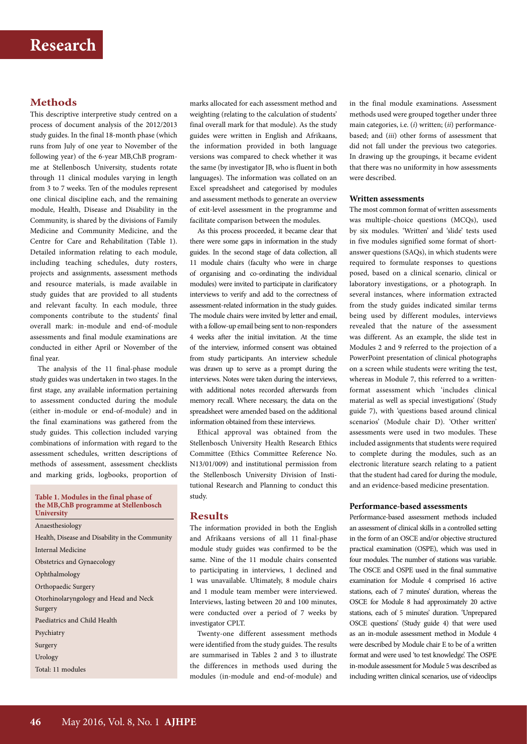## **Methods**

This descriptive interpretive study centred on a process of document analysis of the 2012/2013 study guides. In the final 18-month phase (which runs from July of one year to November of the following year) of the 6-year MB,ChB programme at Stellenbosch University, students rotate through 11 clinical modules varying in length from 3 to 7 weeks. Ten of the modules represent one clinical discipline each, and the remaining module, Health, Disease and Disability in the Community, is shared by the divisions of Family Medicine and Community Medicine, and the Centre for Care and Rehabilitation (Table 1). Detailed information relating to each module, including teaching schedules, duty rosters, projects and assignments, assessment methods and resource materials, is made available in study guides that are provided to all students and relevant faculty. In each module, three components contribute to the students' final overall mark: in-module and end-of-module assessments and final module examinations are conducted in either April or November of the final year.

The analysis of the 11 final-phase module study guides was undertaken in two stages. In the first stage, any available information pertaining to assessment conducted during the module (either in-module or end-of-module) and in the final examinations was gathered from the study guides. This collection included varying combinations of information with regard to the assessment schedules, written descriptions of methods of assessment, assessment checklists and marking grids, logbooks, proportion of

#### **Table 1. Modules in the final phase of the MB,ChB programme at Stellenbosch University**

Anaesthesiology Health, Disease and Disability in the Community Internal Medicine Obstetrics and Gynaecology Ophthalmology Orthopaedic Surgery Otorhinolaryngology and Head and Neck Surgery Paediatrics and Child Health Psychiatry Surgery Urology Total: 11 modules

marks allocated for each assessment method and weighting (relating to the calculation of students' final overall mark for that module). As the study guides were written in English and Afrikaans, the information provided in both language versions was compared to check whether it was the same (by investigator JB, who is fluent in both languages). The information was collated on an Excel spreadsheet and categorised by modules and assessment methods to generate an overview of exit-level assessment in the programme and facilitate comparison between the modules.

As this process proceeded, it became clear that there were some gaps in information in the study guides. In the second stage of data collection, all 11 module chairs (faculty who were in charge of organising and co-ordinating the individual modules) were invited to participate in clarificatory interviews to verify and add to the correctness of assessment-related information in the study guides. The module chairs were invited by letter and email, with a follow-up email being sent to non-responders 4 weeks after the initial invitation. At the time of the interview, informed consent was obtained from study participants. An interview schedule was drawn up to serve as a prompt during the interviews. Notes were taken during the interviews, with additional notes recorded afterwards from memory recall. Where necessary, the data on the spreadsheet were amended based on the additional information obtained from these interviews.

Ethical approval was obtained from the Stellenbosch University Health Research Ethics Committee (Ethics Committee Reference No. N13/01/009) and institutional permission from the Stellenbosch University Division of Institutional Research and Planning to conduct this study.

## **Results**

The information provided in both the English and Afrikaans versions of all 11 final-phase module study guides was confirmed to be the same. Nine of the 11 module chairs consented to participating in interviews, 1 declined and 1 was unavailable. Ultimately, 8 module chairs and 1 module team member were interviewed. Interviews, lasting between 20 and 100 minutes, were conducted over a period of 7 weeks by investigator CPLT.

Twenty-one different assessment methods were identified from the study guides. The results are summarised in Tables 2 and 3 to illustrate the differences in methods used during the modules (in-module and end-of-module) and

in the final module examinations. Assessment methods used were grouped together under three main categories, i.e. (*i*) written; (*ii*) performancebased; and (*iii*) other forms of assessment that did not fall under the previous two categories. In drawing up the groupings, it became evident that there was no uniformity in how assessments were described.

## **Written assessments**

The most common format of written assessments was multiple-choice questions (MCQs), used by six modules. 'Written' and 'slide' tests used in five modules signified some format of shortanswer questions (SAQs), in which students were required to formulate responses to questions posed, based on a clinical scenario, clinical or laboratory investigations, or a photograph. In several instances, where information extracted from the study guides indicated similar terms being used by different modules, interviews revealed that the nature of the assessment was different. As an example, the slide test in Modules 2 and 9 referred to the projection of a PowerPoint presentation of clinical photographs on a screen while students were writing the test, whereas in Module 7, this referred to a writtenformat assessment which 'includes clinical material as well as special investigations' (Study guide 7), with 'questions based around clinical scenarios' (Module chair D). 'Other written' assessments were used in two modules. These included assignments that students were required to complete during the modules, such as an electronic literature search relating to a patient that the student had cared for during the module, and an evidence-based medicine presentation.

#### **Performance-based assessments**

Performance-based assessment methods included an assessment of clinical skills in a controlled setting in the form of an OSCE and/or objective structured practical examination (OSPE), which was used in four modules. The number of stations was variable. The OSCE and OSPE used in the final summative examination for Module 4 comprised 16 active stations, each of 7 minutes' duration, whereas the OSCE for Module 8 had approximately 20 active stations, each of 5 minutes' duration. 'Unprepared OSCE questions' (Study guide 4) that were used as an in-module assessment method in Module 4 were described by Module chair E to be of a written format and were used 'to test knowledge'. The OSPE in-module assessment for Module 5 was described as including written clinical scenarios, use of videoclips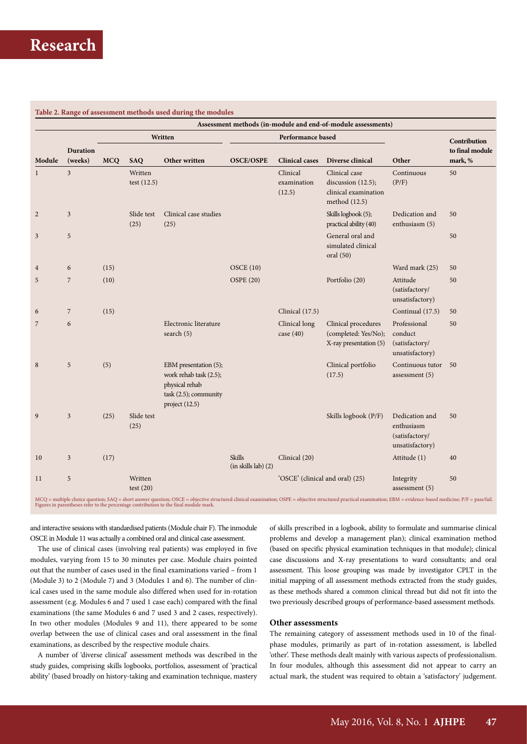### **Table 2. Range of assessment methods used during the modules**

|                |                            | Assessment methods (in-module and end-of-module assessments) |                          |                                                                                                                |                                      |                                   |                                                                                 |                                                                   |                            |
|----------------|----------------------------|--------------------------------------------------------------|--------------------------|----------------------------------------------------------------------------------------------------------------|--------------------------------------|-----------------------------------|---------------------------------------------------------------------------------|-------------------------------------------------------------------|----------------------------|
| Module         |                            | Written                                                      |                          |                                                                                                                | Performance based                    |                                   |                                                                                 |                                                                   | Contribution               |
|                | <b>Duration</b><br>(weeks) | <b>MCO</b>                                                   | <b>SAQ</b>               | Other written                                                                                                  | <b>OSCE/OSPE</b>                     | <b>Clinical cases</b>             | Diverse clinical                                                                | Other                                                             | to final module<br>mark, % |
| $\mathbf{1}$   | $\mathfrak{Z}$             |                                                              | Written<br>test $(12.5)$ |                                                                                                                |                                      | Clinical<br>examination<br>(12.5) | Clinical case<br>discussion $(12.5)$ ;<br>clinical examination<br>method (12.5) | Continuous<br>(P/F)                                               | 50                         |
| $\sqrt{2}$     | 3                          |                                                              | Slide test<br>(25)       | Clinical case studies<br>(25)                                                                                  |                                      |                                   | Skills logbook (5);<br>practical ability (40)                                   | Dedication and<br>enthusiasm (5)                                  | 50                         |
| 3              | 5                          |                                                              |                          |                                                                                                                |                                      |                                   | General oral and<br>simulated clinical<br>oral $(50)$                           |                                                                   | 50                         |
| $\overline{4}$ | 6                          | (15)                                                         |                          |                                                                                                                | OSCE(10)                             |                                   |                                                                                 | Ward mark (25)                                                    | 50                         |
| 5              | $\overline{7}$             | (10)                                                         |                          |                                                                                                                | <b>OSPE (20)</b>                     |                                   | Portfolio (20)                                                                  | Attitude<br>(satisfactory/<br>unsatisfactory)                     | 50                         |
| 6              | $\overline{7}$             | (15)                                                         |                          |                                                                                                                |                                      | Clinical (17.5)                   |                                                                                 | Continual (17.5)                                                  | 50                         |
| 7              | 6                          |                                                              |                          | Electronic literature<br>search $(5)$                                                                          |                                      | Clinical long<br>case $(40)$      | Clinical procedures<br>(completed: Yes/No);<br>X-ray presentation (5)           | Professional<br>conduct<br>(satisfactory/<br>unsatisfactory)      | 50                         |
| 8              | 5                          | (5)                                                          |                          | EBM presentation (5);<br>work rehab task (2.5);<br>physical rehab<br>task (2.5); community<br>project $(12.5)$ |                                      |                                   | Clinical portfolio<br>(17.5)                                                    | Continuous tutor<br>assessment $(5)$                              | 50                         |
| 9              | $\overline{3}$             | (25)                                                         | Slide test<br>(25)       |                                                                                                                |                                      |                                   | Skills logbook (P/F)                                                            | Dedication and<br>enthusiasm<br>(satisfactory/<br>unsatisfactory) | 50                         |
| 10             | $\mathfrak{Z}$             | (17)                                                         |                          |                                                                                                                | <b>Skills</b><br>(in skills lab) (2) | Clinical (20)                     |                                                                                 | Attitude (1)                                                      | 40                         |
| 11             | 5                          |                                                              | Written<br>test $(20)$   |                                                                                                                |                                      | 'OSCE' (clinical and oral) (25)   |                                                                                 | Integrity<br>assessment $(5)$                                     | 50                         |

and interactive sessions with standardised patients (Module chair F). The inmodule OSCE in Module 11 was actually a combined oral and clinical case assessment.

The use of clinical cases (involving real patients) was employed in five modules, varying from 15 to 30 minutes per case. Module chairs pointed out that the number of cases used in the final examinations varied – from 1 (Module 3) to 2 (Module 7) and 3 (Modules 1 and 6). The number of clinical cases used in the same module also differed when used for in-rotation assessment (e.g. Modules 6 and 7 used 1 case each) compared with the final examinations (the same Modules 6 and 7 used 3 and 2 cases, respectively). In two other modules (Modules 9 and 11), there appeared to be some overlap between the use of clinical cases and oral assessment in the final examinations, as described by the respective module chairs.

A number of 'diverse clinical' assessment methods was described in the study guides, comprising skills logbooks, portfolios, assessment of 'practical ability' (based broadly on history-taking and examination technique, mastery of skills prescribed in a logbook, ability to formulate and summarise clinical problems and develop a management plan); clinical examination method (based on specific physical examination techniques in that module); clinical case discussions and X-ray presentations to ward consultants; and oral assessment. This loose grouping was made by investigator CPLT in the initial mapping of all assessment methods extracted from the study guides, as these methods shared a common clinical thread but did not fit into the two previously described groups of performance-based assessment methods.

## **Other assessments**

The remaining category of assessment methods used in 10 of the finalphase modules, primarily as part of in-rotation assessment, is labelled 'other'. These methods dealt mainly with various aspects of professionalism. In four modules, although this assessment did not appear to carry an actual mark, the student was required to obtain a 'satisfactory' judgement.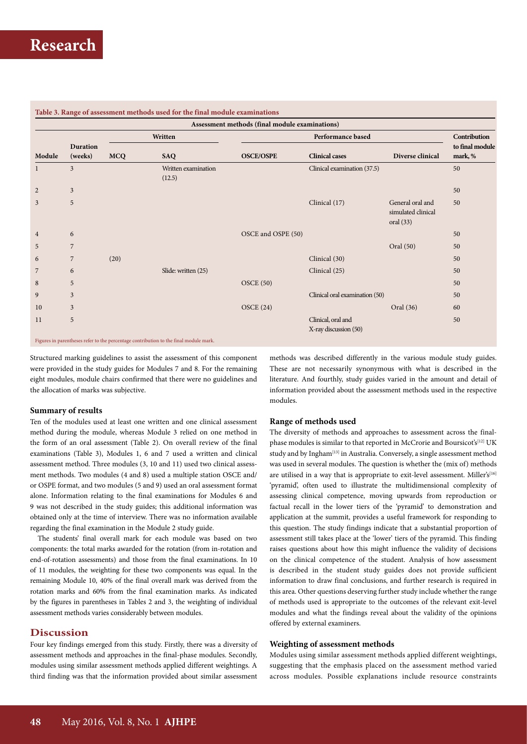| Assessment methods (final module examinations) |                     |            |                               |                    |                                             |                                                       |                            |  |  |  |  |  |
|------------------------------------------------|---------------------|------------|-------------------------------|--------------------|---------------------------------------------|-------------------------------------------------------|----------------------------|--|--|--|--|--|
| Module                                         | Duration<br>(weeks) |            | Written                       |                    | Contribution                                |                                                       |                            |  |  |  |  |  |
|                                                |                     | <b>MCQ</b> | <b>SAQ</b>                    | <b>OSCE/OSPE</b>   | <b>Clinical cases</b>                       | Diverse clinical                                      | to final module<br>mark, % |  |  |  |  |  |
|                                                | $\mathfrak{Z}$      |            | Written examination<br>(12.5) |                    | Clinical examination (37.5)                 |                                                       | 50                         |  |  |  |  |  |
| 2                                              | $\mathfrak{Z}$      |            |                               |                    |                                             |                                                       | 50                         |  |  |  |  |  |
| 3                                              | 5                   |            |                               |                    | Clinical (17)                               | General oral and<br>simulated clinical<br>oral $(33)$ | 50                         |  |  |  |  |  |
| $\overline{4}$                                 | 6                   |            |                               | OSCE and OSPE (50) |                                             |                                                       | 50                         |  |  |  |  |  |
| 5                                              | $\overline{7}$      |            |                               |                    |                                             | Oral (50)                                             | 50                         |  |  |  |  |  |
| 6                                              | $\overline{7}$      | (20)       |                               |                    | Clinical (30)                               |                                                       | 50                         |  |  |  |  |  |
| 7                                              | 6                   |            | Slide: written (25)           |                    | Clinical (25)                               |                                                       | 50                         |  |  |  |  |  |
| 8                                              | 5                   |            |                               | OSCE(50)           |                                             |                                                       | 50                         |  |  |  |  |  |
| 9                                              | 3                   |            |                               |                    | Clinical oral examination (50)              |                                                       | 50                         |  |  |  |  |  |
| 10                                             | 3                   |            |                               | OSCE(24)           |                                             | Oral (36)                                             | 60                         |  |  |  |  |  |
| 11                                             | 5                   |            |                               |                    | Clinical, oral and<br>X-ray discussion (50) |                                                       | 50                         |  |  |  |  |  |

## **Table 3. Range of assessment methods used for the final module examinations**

Structured marking guidelines to assist the assessment of this component were provided in the study guides for Modules 7 and 8. For the remaining eight modules, module chairs confirmed that there were no guidelines and the allocation of marks was subjective.

#### **Summary of results**

Ten of the modules used at least one written and one clinical assessment method during the module, whereas Module 3 relied on one method in the form of an oral assessment (Table 2). On overall review of the final examinations (Table 3), Modules 1, 6 and 7 used a written and clinical assessment method. Three modules (3, 10 and 11) used two clinical assessment methods. Two modules (4 and 8) used a multiple station OSCE and/ or OSPE format, and two modules (5 and 9) used an oral assessment format alone. Information relating to the final examinations for Modules 6 and 9 was not described in the study guides; this additional information was obtained only at the time of interview. There was no information available regarding the final examination in the Module 2 study guide.

The students' final overall mark for each module was based on two components: the total marks awarded for the rotation (from in-rotation and end-of-rotation assessments) and those from the final examinations. In 10 of 11 modules, the weighting for these two components was equal. In the remaining Module 10, 40% of the final overall mark was derived from the rotation marks and 60% from the final examination marks. As indicated by the figures in parentheses in Tables 2 and 3, the weighting of individual assessment methods varies considerably between modules.

## **Discussion**

Four key findings emerged from this study. Firstly, there was a diversity of assessment methods and approaches in the final-phase modules. Secondly, modules using similar assessment methods applied different weightings. A third finding was that the information provided about similar assessment

methods was described differently in the various module study guides. These are not necessarily synonymous with what is described in the literature. And fourthly, study guides varied in the amount and detail of information provided about the assessment methods used in the respective modules.

### **Range of methods used**

The diversity of methods and approaches to assessment across the finalphase modules is similar to that reported in McCrorie and Boursicot's<sup>[12]</sup> UK study and by Ingham<sup>[13]</sup> in Australia. Conversely, a single assessment method was used in several modules. The question is whether the (mix of) methods are utilised in a way that is appropriate to exit-level assessment. Miller's[16] 'pyramid', often used to illustrate the multidimensional complexity of assessing clinical competence, moving upwards from reproduction or factual recall in the lower tiers of the 'pyramid' to demonstration and application at the summit, provides a useful framework for responding to this question. The study findings indicate that a substantial proportion of assessment still takes place at the 'lower' tiers of the pyramid. This finding raises questions about how this might influence the validity of decisions on the clinical competence of the student. Analysis of how assessment is described in the student study guides does not provide sufficient information to draw final conclusions, and further research is required in this area. Other questions deserving further study include whether the range of methods used is appropriate to the outcomes of the relevant exit-level modules and what the findings reveal about the validity of the opinions offered by external examiners.

#### **Weighting of assessment methods**

Modules using similar assessment methods applied different weightings, suggesting that the emphasis placed on the assessment method varied across modules. Possible explanations include resource constraints